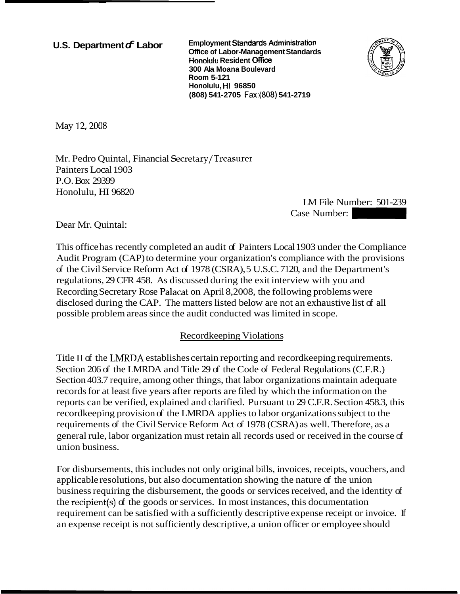**U.S. Department c Labor** Employment Standards Administration **Office of Labor-Management Standards Honoiulu Resident** 0ffi **300 Ala Moana Boulevard Room 5-121 Honolulu, HI 96850 (808) 541 -2705 Fax:(808) 541 -271 9** 



May 12, 2008

Mr. Pedro Quintal, Financial Secretary/Treasurer Painters Local 1903 P.O. Box 29399 Honolulu, HI 96820

LM File Number: 501-239 -2719<br>
LM File Number: 501-239<br>
Case Number:<br>
al 1903 under the Compliance

Dear Mr. Quintal:

This office has recently completed an audit of Painters Local 1903 under the Compliance Audit Program (CAP) to determine your organization's compliance with the provisions of the Civil Service Reform Act of 1978 (CSRA), 5 U.S.C. 7120, and the Department's regulations, 29 CFR 458. As discussed during the exit interview with you and Recording Secretary Rose Palacat on April 8,2008, the following problems were disclosed during the CAP. The matters listed below are not an exhaustive list of all possible problem areas since the audit conducted was limited in scope.

## Recordkeeping Violations

Title II of the LMRDA establishes certain reporting and record keeping requirements. Section 206 of the LMRDA and Title 29 of the Code of Federal Regulations (C.F.R.) Section 403.7 require, among other things, that labor organizations maintain adequate records for at least five years after reports are filed by which the information on the reports can be verified, explained and clarified. Pursuant to 29 C.F.R. Section 458.3, this recordkeeping provision of the LMRDA applies to labor organizations subject to the requirements of the Civil Service Reform Act of 1978 (CSRA) as well. Therefore, as a general rule, labor organization must retain all records used or received in the course of union business.

For disbursements, this includes not only original bills, invoices, receipts, vouchers, and applicable resolutions, but also documentation showing the nature of the union business requiring the disbursement, the goods or services received, and the identity of the recipient(s) of the goods or services. In most instances, this documentation requirement can be satisfied with a sufficiently descriptive expense receipt or invoice. If an expense receipt is not sufficiently descriptive, a union officer or employee should